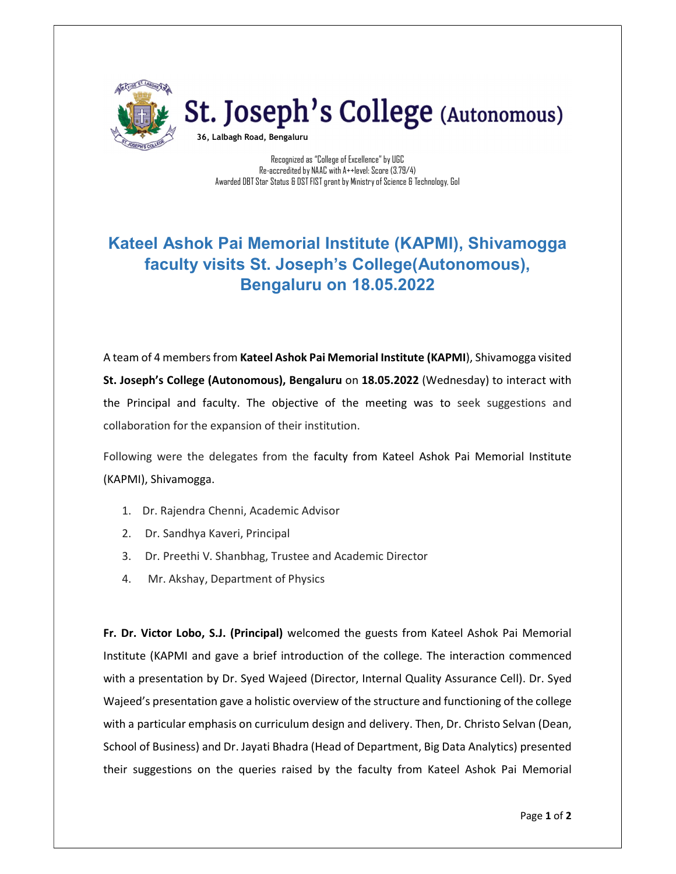

## St. Joseph's College (Autonomous)

36, Lalbagh Road, Bengaluru

Recognized as "College of Excellence" by UGC Re-accredited by NAAC with A++level: Score (3.79/4) Awarded DBT Star Status & DST FIST grant by Ministry of Science & Technology, GoI

## Kateel Ashok Pai Memorial Institute (KAPMI), Shivamogga faculty visits St. Joseph's College(Autonomous), Bengaluru on 18.05.2022

A team of 4 members from Kateel Ashok Pai Memorial Institute (KAPMI), Shivamogga visited St. Joseph's College (Autonomous), Bengaluru on 18.05.2022 (Wednesday) to interact with the Principal and faculty. The objective of the meeting was to seek suggestions and collaboration for the expansion of their institution.

Following were the delegates from the faculty from Kateel Ashok Pai Memorial Institute (KAPMI), Shivamogga.

- 1. Dr. Rajendra Chenni, Academic Advisor
- 2. Dr. Sandhya Kaveri, Principal
- 3. Dr. Preethi V. Shanbhag, Trustee and Academic Director
- 4. Mr. Akshay, Department of Physics

Fr. Dr. Victor Lobo, S.J. (Principal) welcomed the guests from Kateel Ashok Pai Memorial Institute (KAPMI and gave a brief introduction of the college. The interaction commenced with a presentation by Dr. Syed Wajeed (Director, Internal Quality Assurance Cell). Dr. Syed Wajeed's presentation gave a holistic overview of the structure and functioning of the college with a particular emphasis on curriculum design and delivery. Then, Dr. Christo Selvan (Dean, School of Business) and Dr. Jayati Bhadra (Head of Department, Big Data Analytics) presented their suggestions on the queries raised by the faculty from Kateel Ashok Pai Memorial